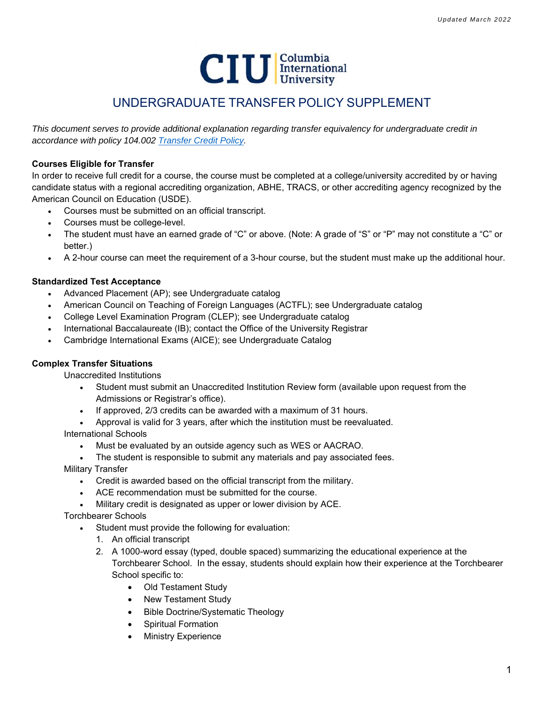

# UNDERGRADUATE TRANSFER POLICY SUPPLEMENT

*This document serves to provide additional explanation regarding transfer equivalency for undergraduate credit in accordance with policy 104.002 Transfer Credit Policy.*

# **Courses Eligible for Transfer**

In order to receive full credit for a course, the course must be completed at a college/university accredited by or having candidate status with a regional accrediting organization, ABHE, TRACS, or other accrediting agency recognized by the American Council on Education (USDE).

- Courses must be submitted on an official transcript.
- Courses must be college-level.
- The student must have an earned grade of "C" or above. (Note: A grade of "S" or "P" may not constitute a "C" or better.)
- A 2-hour course can meet the requirement of a 3-hour course, but the student must make up the additional hour.

# **Standardized Test Acceptance**

- Advanced Placement (AP); see Undergraduate catalog
- American Council on Teaching of Foreign Languages (ACTFL); see Undergraduate catalog
- College Level Examination Program (CLEP); see Undergraduate catalog
- International Baccalaureate (IB); contact the Office of the University Registrar
- Cambridge International Exams (AICE); see Undergraduate Catalog

# **Complex Transfer Situations**

Unaccredited Institutions

- Student must submit an Unaccredited Institution Review form (available upon request from the Admissions or Registrar's office).
- If approved, 2/3 credits can be awarded with a maximum of 31 hours.
- Approval is valid for 3 years, after which the institution must be reevaluated.

International Schools

- Must be evaluated by an outside agency such as WES or AACRAO.
- The student is responsible to submit any materials and pay associated fees.

Military Transfer

- Credit is awarded based on the official transcript from the military.
- ACE recommendation must be submitted for the course.
- Military credit is designated as upper or lower division by ACE.

Torchbearer Schools

- Student must provide the following for evaluation:
	- 1. An official transcript
	- 2. A 1000-word essay (typed, double spaced) summarizing the educational experience at the Torchbearer School. In the essay, students should explain how their experience at the Torchbearer School specific to:
		- Old Testament Study
		- New Testament Study
		- Bible Doctrine/Systematic Theology
		- Spiritual Formation
		- Ministry Experience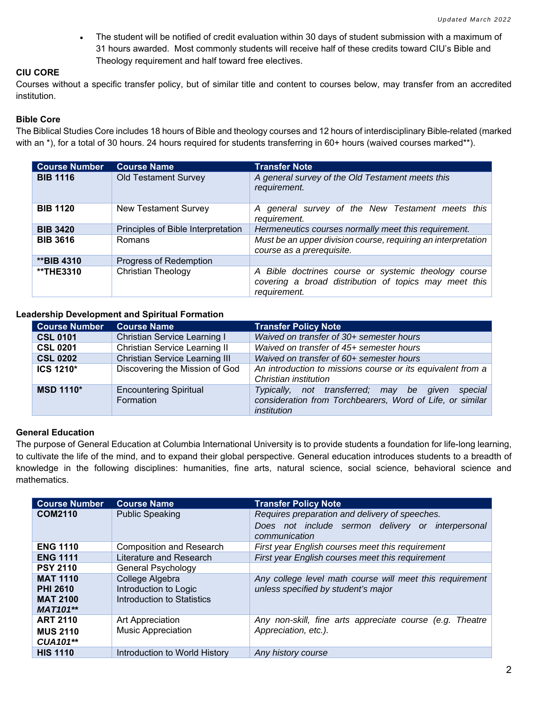The student will be notified of credit evaluation within 30 days of student submission with a maximum of 31 hours awarded. Most commonly students will receive half of these credits toward CIU's Bible and Theology requirement and half toward free electives.

# **CIU CORE**

Courses without a specific transfer policy, but of similar title and content to courses below, may transfer from an accredited institution.

# **Bible Core**

The Biblical Studies Core includes 18 hours of Bible and theology courses and 12 hours of interdisciplinary Bible-related (marked with an  $^*$ ), for a total of 30 hours. 24 hours required for students transferring in 60+ hours (waived courses marked\*\*).

| <b>Course Number</b> | <b>Course Name</b>                 | <b>Transfer Note</b>                                                                                                          |
|----------------------|------------------------------------|-------------------------------------------------------------------------------------------------------------------------------|
| <b>BIB 1116</b>      | <b>Old Testament Survey</b>        | A general survey of the Old Testament meets this<br>requirement.                                                              |
| <b>BIB 1120</b>      | <b>New Testament Survey</b>        | A general survey of the New Testament meets this<br>requirement.                                                              |
| <b>BIB 3420</b>      | Principles of Bible Interpretation | Hermeneutics courses normally meet this requirement.                                                                          |
| <b>BIB 3616</b>      | Romans                             | Must be an upper division course, requiring an interpretation<br>course as a prerequisite.                                    |
| <b>**BIB 4310</b>    | Progress of Redemption             |                                                                                                                               |
| <b>**THE3310</b>     | <b>Christian Theology</b>          | A Bible doctrines course or systemic theology course<br>covering a broad distribution of topics may meet this<br>requirement. |

#### **Leadership Development and Spiritual Formation**

| <b>Course Number</b> | <b>Course Name</b>                         | <b>Transfer Policy Note</b>                                                                                                     |
|----------------------|--------------------------------------------|---------------------------------------------------------------------------------------------------------------------------------|
| <b>CSL 0101</b>      | Christian Service Learning I               | Waived on transfer of 30+ semester hours                                                                                        |
| <b>CSL 0201</b>      | Christian Service Learning II              | Waived on transfer of 45+ semester hours                                                                                        |
| <b>CSL 0202</b>      | <b>Christian Service Learning III</b>      | Waived on transfer of 60+ semester hours                                                                                        |
| <b>ICS 1210*</b>     | Discovering the Mission of God             | An introduction to missions course or its equivalent from a<br>Christian institution                                            |
| <b>MSD 1110*</b>     | <b>Encountering Spiritual</b><br>Formation | Typically, not transferred; may be given<br>special<br>consideration from Torchbearers, Word of Life, or similar<br>institution |

# **General Education**

The purpose of General Education at Columbia International University is to provide students a foundation for life-long learning, to cultivate the life of the mind, and to expand their global perspective. General education introduces students to a breadth of knowledge in the following disciplines: humanities, fine arts, natural science, social science, behavioral science and mathematics.

| <b>Course Number</b>                                                     | <b>Course Name</b>                                                     | <b>Transfer Policy Note</b>                                                                                          |
|--------------------------------------------------------------------------|------------------------------------------------------------------------|----------------------------------------------------------------------------------------------------------------------|
| <b>COM2110</b>                                                           | <b>Public Speaking</b>                                                 | Requires preparation and delivery of speeches.<br>Does not include sermon delivery or interpersonal<br>communication |
| <b>ENG 1110</b>                                                          | <b>Composition and Research</b>                                        | First year English courses meet this requirement                                                                     |
| <b>ENG 1111</b>                                                          | Literature and Research                                                | First year English courses meet this requirement                                                                     |
| <b>PSY 2110</b>                                                          | General Psychology                                                     |                                                                                                                      |
| <b>MAT 1110</b><br><b>PHI 2610</b><br><b>MAT 2100</b><br><b>MAT101**</b> | College Algebra<br>Introduction to Logic<br>Introduction to Statistics | Any college level math course will meet this requirement<br>unless specified by student's major                      |
| <b>ART 2110</b><br><b>MUS 2110</b><br>CUA101**                           | Art Appreciation<br><b>Music Appreciation</b>                          | Any non-skill, fine arts appreciate course (e.g. Theatre<br>Appreciation, etc.).                                     |
| <b>HIS 1110</b>                                                          | Introduction to World History                                          | Any history course                                                                                                   |